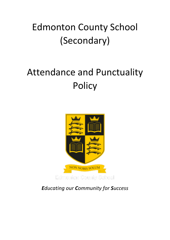# Edmonton County School (Secondary)

# Attendance and Punctuality **Policy**



*Educating our Community for Success*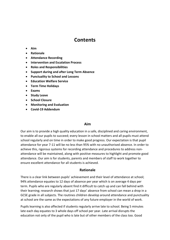# **Contents**

- **Aim**
- **Rationale**
- **Attendance Recording**
- **Intervention and Escalation Process**
- **Roles and Responsibilities**
- **Support during and after Long Term Absence**
- **Punctuality to School and Lessons**
- **Education Welfare Service**
- **Term Time Holidays**
- **Exams**
- **Study Leave**
- **School Closure**
- **Monitoring and Evaluation**
- **Covid-19 Addendum**

#### **Aim**

Our aim is to provide a high quality education in a safe, disciplined and caring environment, to enable all our pupils to succeed; every lesson in school matters and all pupils must attend school regularly and on time in order to make good progress. Our expectation is that pupil attendance for year 7-11 will be no less than 95% with no unauthorised absence. In order to achieve this, rigorous systems for recording attendance and procedures to address nonattendance will be maintained, along with positive measures to highlight and promote good attendance. Our aim is for students, parents and members of staff to work together to ensure excellent attendance for all students is achieved.

#### **Rationale**

There is a clear link between pupils' achievement and their level of attendance at school; 94% attendance equates to 12 days of absence per year which is on average 4 days per term. Pupils who are regularly absent find it difficult to catch up and can fall behind with their learning; research shows that just 17 days' absence from school can mean a drop in a GCSE grade in all subjects. The routines children develop around attendance and punctuality at school are the same as the expectations of any future employer in the world of work.

Pupils learning is also affected if students regularly arrive late to school. Being 5 minutes late each day equates to 3 whole days off school per year. Late arrival disrupts the education not only of the pupil who is late but of other members of the class too. Good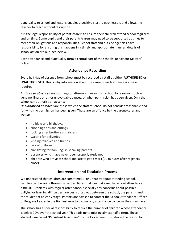punctuality to school and lessons enables a positive start to each lesson, and allows the teacher to teach without disruption.

It is the legal responsibility of parents/carers to ensure their children attend school regularly and on time. Some pupils and their parents/carers may need to be supported at times to meet their obligations and responsibilities. School staff and outside agencies have responsibility for ensuring this happens in a timely and appropriate manner; details of school action are outlined below.

Both attendance and punctuality form a central part of the schools 'Behaviour Matters' policy.

## **Attendance Recording**

Every half-day of absence from school must be recorded by staff as either **AUTHORISED** or **UNAUTHORISED.** This is why information about the cause of each absence is always required.

*Authorised absences* are mornings or afternoons away from school for a reason such as genuine illness or other unavoidable causes, or when permission has been given. Only the school can authorise an absence.

*Unauthorised absences* are those which the staff at school do not consider reasonable and for which no permission has been given. These are an offence by the parent/carer and include:

- holidays and birthdays,
- shopping trips and outings
- looking after brothers and sisters
- waiting for deliveries
- visiting relatives and friends
- lack of uniform
- translating for non-English speaking parents
- absences which have never been properly explained
- children who arrive at school too late to get a mark (30 minutes after registers close)

### **Intervention and Escalation Process**

We understand that children are sometimes ill or unhappy about attending school. Families can be going through unsettled times that can make regular school attendance difficult. Problems with regular attendance, especially any concerns about possible bullying or learning difficulties, are best sorted out between the school, the parents and the student at an early stage. Parents are advised to contact the School Attendance Officer or Progress Leader in the first instance to discuss any attendance concerns they may have.

The school has a special responsibility to reduce the number of children whose attendance is below 90% over the school year. This adds up to missing almost half a term. These students are called "Persistent Absentees" by the Government, whatever the reason for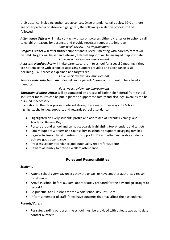their absence, including authorised absences. Once attendance falls below 92% or there are other patterns of absence highlighted, the following escalation process will be followed:

*Attendance Officer* will make contact with parents/carers either by letter or telephone call to establish reasons for absence, and provide necessary support to improve.

#### *Four-week review – no improvement*

*Progress Leader* will offer further support and a Level 1 meeting with parents/carers will be held. Targets will be set and internal/external support will be arranged if appropriate. *Four-week review - no improvement*

*Assistant Headteacher* will invite parents/carers in to school for a Level 2 meeting if they are not engaging with school or accessing support provided and attendance is still declining. EWO process explained and targets set.

#### *Four-week review - no improvement*

*Senior Leadership Team member* will invite parents/carers and student in for a level 2 meeting

#### *Four-week review - no improvement*

*Education Welfare Officer* will be contacted by process of Early Help Referral from school so further measures can be put in place to support the family and also legal avenues can be pursued if necessary.

In addition to the clear process detailed above, there many other ways the School highlights, challenges, supports and rewards school attendance:

- Highlighted on every students profile and addressed at Parents Evenings and Academic Review Days
- Posters around school and on noticeboards highlighting top attenders and targets
- Family Support Workers and Counsellors in school to support struggling families
- Regular Inclusion Panel meetings to support EHCP and other vulnerable students achieve good attendance
- Progress Leader attendance and punctuality report for students
- Reward assembly to praise excellent attendance

## **Roles and Responsibilities**

#### *Students*

- Attend school every day unless they are unwell or have another authorised reason for absence
- Arrive in school before 8.25am, appropriately prepared for the day and go straight to period 1
- Be punctual to all lessons for the whole school day until 3pm
- Inform a member of staff if they have concerns that may affect their attendance

#### *Parents/Carers*

• For safeguarding purposes, the school must be provided with at least two up to date contact numbers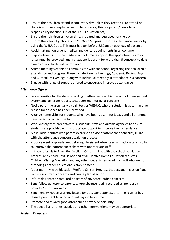- Ensure their children attend school every day unless they are too ill to attend or there is another acceptable reason for absence; this is a parent/carers legal responsibility (Section 444 of the 1996 Education Act)
- Ensure their children arrive on time, prepared and equipped for the day
- Inform the school by phone on 02083603158, press 1 for the attendance line, or by using the WEDUC app. This must happen before 8.30am on each day of absence
- Avoid making non urgent medical and dental appointments in school time
- If appointments must be made in school time, a copy of the appointment card or letter must be provided, and if a student is absent for more than 5 consecutive days a medical certificate will be required
- Attend meetings/events to communicate with the school regarding their children's attendance and progress; these include Parents Evenings, Academic Review Days and Curriculum Evenings, along with individual meetings if attendance is a concern
- Engage with range of support offered to encourage improved attendance

#### *Attendance Officer*

- Be responsible for the daily recording of attendance within the school management system and generate reports to support monitoring of concerns
- Notify parents/carers daily by call, text or WEDUC, where a student is absent and no reason for absence has been provided.
- Arrange home visits for students who have been absent for 3 days and all attempts have failed to contact the family
- Work closely with parents/carers, students, staff and outside agencies to ensure students are provided with appropriate support to improve their attendance
- Make initial contact with parents/carers to advise of attendance concerns, in line with the attendance concern escalation process
- Produce weekly spreadsheet detailing 'Persistent Absentees' and action taken so far to improve their attendance; share with appropriate staff
- Initiate referrals to Education Welfare Officer in line with the school escalation process, and ensure EWO is notified of all Elective Home Education requests, Children Missing Education and any other students removed from roll who are not attending another educational establishment
- Meet monthly with Education Welfare Officer, Progress Leaders and Inclusion Panel to discuss current concerns and create plan of action
- Inform designated safeguarding team of any safeguarding concerns
- Send follow up letter to parents where absence is still recorded as 'no reason provided' after two weeks
- Send Penalty Notice Warning letters for persistent lateness after the register has closed, persistent truancy, and holidays in term time
- Promote and reward good attendance at every opportunity
- The above list is not exhaustive and other interventions may be appropriate

#### *Student Managers*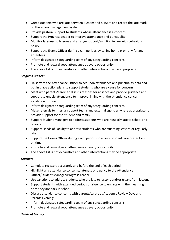- Greet students who are late between 8.25am and 8.45am and record the late mark on the school management system
- Provide pastoral support to students whose attendance is a concern
- Support the Progress Leader to improve attendance and punctuality
- Monitor lateness to lessons and arrange support/sanction in line with behaviour policy
- Support the Exams Officer during exam periods by calling home promptly for any absentees
- Inform designated safeguarding team of any safeguarding concerns
- Promote and reward good attendance at every opportunity
- The above list is not exhaustive and other interventions may be appropriate

#### *Progress Leaders*

- Liaise with the Attendance Officer to act upon attendance and punctuality data and put in place action plans to support students who are a cause for concern
- Meet with parents/carers to discuss reasons for absence and provide guidance and support to enable attendance to improve, in line with the attendance concern escalation process
- Inform designated safeguarding team of any safeguarding concerns
- Make referrals to internal support teams and external agencies where appropriate to provide support for the student and family
- Support Student Managers to address students who are regularly late to school and lessons
- Support Heads of Faculty to address students who are truanting lessons or regularly late
- Support the Exams Officer during exam periods to ensure students are present and on time
- Promote and reward good attendance at every opportunity
- The above list is not exhaustive and other interventions may be appropriate

#### *Teachers*

- Complete registers accurately and before the end of each period
- Highlight any attendance concerns, lateness or truancy to the Attendance Officer/Student Manager/Progress Leader
- Use sanctions to address students who are late to lessons and/or truant from lessons
- Support students with extended periods of absence to engage with their learning once they are back in school
- Discuss attendance concerns with parents/carers at Academic Review Days and Parents Evenings
- Inform designated safeguarding team of any safeguarding concerns
- Promote and reward good attendance at every opportunity

#### *Heads of Faculty*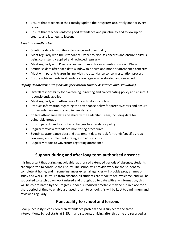- Ensure that teachers in their faculty update their registers accurately and for every lesson
- Ensure that teachers enforce good attendance and punctuality and follow up on truancy and lateness to lessons

#### *Assistant Headteacher*

- Scrutinise data to monitor attendance and punctuality
- Meet regularly with the Attendance Officer to discuss concerns and ensure policy is being consistently applied and reviewed regularly
- Meet regularly with Progress Leaders to monitor interventions in each Phase
- Scrutinise data after each data window to discuss and monitor attendance concerns
- Meet with parents/carers in line with the attendance concern escalation process
- Ensure achievements in attendance are regularly celebrated and rewarded

#### *Deputy Headteacher (Responsible for Pastoral Quality Assurance and Evaluation)*

- Overall responsibility for overseeing, directing and co-ordinating policy and ensure it is consistently applied
- Meet regularly with Attendance Officer to discuss policy
- Produce information regarding the attendance policy for parents/carers and ensure it is included on website and in newsletters
- Collate attendance data and share with Leadership Team, including data for vulnerable groups
- Inform parents and staff of any changes to attendance policy
- Regularly review attendance monitoring procedures
- Scrutinise attendance data and attainment data to look for trends/specific group concerns, and implement strategies to address this
- Regularly report to Governors regarding attendance

# **Support during and after long term authorised absence**

It is important that during unavoidable, authorised extended periods of absence, students are supported to continue their study. The school will provide work for the student to complete at home, and in some instances external agencies will provide programmes of study and work. On return from absence, all students are made to feel welcome, and will be supported to catch up on work missed and brought up to date with any information; this will be co-ordinated by the Progress Leader. A reduced timetable may be put in place for a short period of time to enable a phased return to school; this will be kept to a minimum and reviewed regularly.

# **Punctuality to school and lessons**

Poor punctuality is considered an attendance problem and is subject to the same interventions. School starts at 8.25am and students arriving after this time are recorded as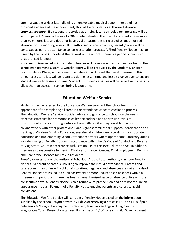late. If a student arrives late following an unavoidable medical appointment and has provided evidence of the appointment, this will be recorded as authorised absence. *Lateness to school***:** If a student is recorded as arriving late to school, a text message will be sent to parents/carers advising of a 30-minute detention that day. If a student arrives more than 30 minutes late and does not have a valid reason, this is recorded as unauthorised absence for the morning session. If unauthorised lateness persists, parents/carers will be contacted as per the attendance concern escalation process. A Fixed Penalty Notice may be issued by the Local Authority at the request of the school if there is a period of persistent unauthorised lateness.

*Lateness to lessons*: All minutes late to lessons will be recorded by the class teacher on the school management system. A weekly report will be produced by the Student Manager responsible for Phase, and a break-time detention will be set that week to make up this time. Access to toilets will be restricted during lesson time and lesson change over to ensure students arrive to lessons on time. Students with medical issues will be issued with a pass to allow them to access the toilets during lesson time.

## **Education Welfare Service**

Students may be referred to the Education Welfare Service if the school feels this is appropriate after completing all steps in the attendance concern escalation process. The Education Welfare Service provides advice and guidance to schools on the use of effective strategies for promoting excellent attendance and addressing levels of unauthorised absence. Through interventions with families they are able to work collaboratively with other professionals and signpost families for support. Identification and tracking of Children Missing Education, ensuring all children are receiving an appropriate education and implementing School Attendance Orders where appropriate. Statutory duties include issuing of Penalty Notices in accordance with Enfield's Code of Conduct and Referral to Magistrate' Court in accordance with Section 444 of the 1996 Education Act. In addition, they are also responsible for issuing Child Performance Licences, Child Employment Permits and Chaperone Licences for Enfield residents.

*Penalty Notices*: Under the [Antisocial Behaviour Act](http://www.education.gov.uk/) the Local Authority can issue Penalty Notices if a parent or carer is unwilling to improve their child's attendance. Parents and carers commit an offence if a child fails to attend regularly and absences are not authorised. Penalty Notices are issued if a pupil has twenty or more unauthorised absences within a three-month period, or if there has been an unauthorised leave of absence of five or more consecutive days. A Penalty Notice is an alternative to prosecution and does not require an appearance in court. Payment of a Penalty Notice enables parents and carers to avoid convictions.

The Education Welfare Service will consider a Penalty Notice based on the information supplied by the school. Payment within 21 days of receiving a notice is £60 and £120 if paid between 22-28 days. If no payment is received, legal proceedings will begin in the Magistrates Court. Prosecution can result in a fine of £1,000 for each child. When a parent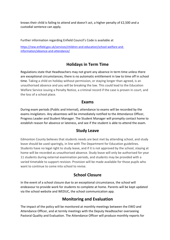knows their child is failing to attend and doesn't act, a higher penalty of £2,500 and a custodial sentence can apply.

Further information regarding Enfield Council's Code is available at

[https://new.enfield.gov.uk/services/children-and-education/school-welfare-and](https://new.enfield.gov.uk/services/children-and-education/school-welfare-and-information/absence-and-attendance/)[information/absence-and-attendance/](https://new.enfield.gov.uk/services/children-and-education/school-welfare-and-information/absence-and-attendance/)

# **Holidays in Term Time**

Regulations state that Headteachers may not grant any absence in term time unless there are exceptional circumstances; there is no automatic entitlement in law to time off in school time. Taking a child on holiday without permission, or staying longer than agreed, is an unauthorised absence and you will be breaking the law. This could lead to the Education Welfare Service issuing a Penalty Notice, a criminal record if the case is proven in court, and the loss of a school place.

### **Exams**

During exam periods (Public and Internal), attendance to exams will be recorded by the exams invigilators. Any absentees will be immediately notified to the Attendance Officer, Progress Leader and Student Manager. The Student Manager will promptly contact home to establish reason for absence or lateness, and see if the student is able to attend the exam.

## **Study Leave**

Edmonton County believes that students needs are best met by attending school, and study leave should be used sparingly, in line with The Department for Education guidelines. Students have no legal right to study leave, and if it is not approved by the school, staying at home will be recorded as unauthorised absence. Study leave will only be authorised for year 11 students during external examination periods, and students may be provided with a varied timetable to support revision. Provision will be made available for those pupils who want to continue to come into school to revise.

# **School Closure**

In the event of a school closure due to an exceptional circumstance, the school will endeavour to provide work for students to complete at home. Parents will be kept updated via the school website and WEDUC, the school communication app.

# **Monitoring and Evaluation**

The impact of the policy will be monitored at monthly meetings between the EWO and Attendance Officer, and at termly meetings with the Deputy Headteacher overseeing Pastoral Quality and Evaluation. The Attendance Officer will produce monthly reports for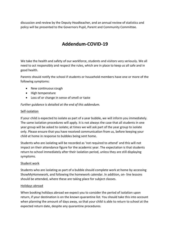discussion and review by the Deputy Headteacher, and an annual review of statistics and policy will be presented to the Governors Pupil, Parent and Community Committee.

# **Addendum-COVID-19**

We take the health and safety of our workforce, students and visitors very seriously. We all need to act responsibly and respect the rules, which are in place to keep us all safe and in good health.

Parents should notify the school if students or household members have one or more of the following symptoms:

- New continuous cough
- High temperature
- Loss of or change in sense of smell or taste

*Further guidance is detailed at the end of this addendum.*

#### Self-isolation

If your child is expected to isolate as part of a year bubble, we will inform you immediately. The same isolation procedures will apply. It is not always the case that all students in one year group will be asked to isolate; at times we will ask part of the year group to isolate only. Please ensure that you have received communication from us, before keeping your child at home in response to bubbles being sent home.

Students who are isolating will be recorded as 'not required to attend' and this will not impact on their attendance figure for the academic year. The expectation is that students return to school immediately after their isolation period, unless they are still displaying symptoms.

#### Student work

Students who are isolating as part of a bubble should complete work at home by accessing ShowMyHomework, and following the homework calendar. In addition, on- line lessons should be attended, where these are taking place for subject classes.

#### Holidays abroad

When booking holidays abroad we expect you to consider the period of isolation upon return, if your destination is on the known quarantine list. You should take this into account when planning the amount of days away, so that your child is able to return to school at the expected return date, despite any quarantine procedures.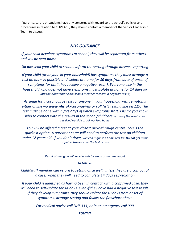If parents, carers or students have any concerns with regard to the school's policies and procedures in relation to COVID-19, they should contact a member of the Senior Leadership Team to discuss.

## *NHS GUIDANCE*

*If your child develops symptoms at school, they will be separated from others, and will be sent home*

*Do not send your child to school. Inform the setting through absence reporting*

*If your child (or anyone in your household) has symptoms they must arrange a test as soon as possible and isolate at home for 10 days from date of onset of symptoms (or until they receive a negative result). Everyone else in the household who does not have symptoms must isolate at home for 14 days (or until the symptomatic household member receives a negative result)*

*Arrange for a coronavirus test for anyone in your household with symptoms either online via www.nhs.uk/coronavirus or call NHS testing line on 119. The test must be done within five days of when symptoms start. Ensure you know who to contact with the results in the school/childcare setting if the results are received outside usual working hours*

*You will be offered a test at your closest drive-through centre. This is the quickest option. A parent or carer will need to perform the test on children under 12 years old. If you don't drive, you can request a home test kit. Do not get a taxi or public transport to the test centre*

*Result of test (you will receive this by email or text message)*

#### *NEGATIVE*

*Child/staff member can return to setting once well, unless they are a contact of a case, when they will need to complete 14 days self-isolation*

*If your child is identified as having been in contact with a confirmed case, they will need to self-isolate for 14 days, even if they have had a negative test result. If they develop symptoms, they should isolate for 10 days from onset of symptoms, arrange testing and follow the flowchart above*

*For medical advice call NHS 111, or in an emergency call 999*

*POSITIVE*